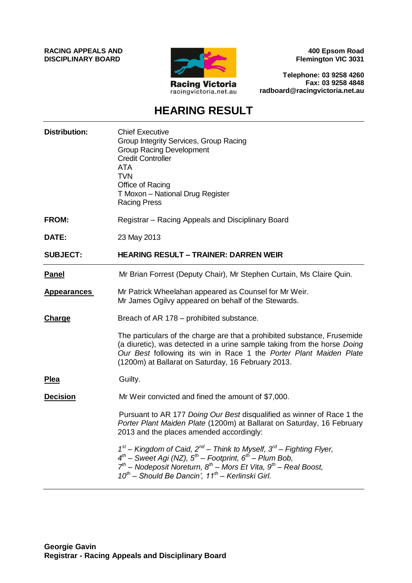**RACING APPEALS AND DISCIPLINARY BOARD**



**400 Epsom Road Flemington VIC 3031**

**Telephone: 03 9258 4260 Fax: 03 9258 4848 radboard@racingvictoria.net.au**

## **HEARING RESULT**

| <b>Distribution:</b> | <b>Chief Executive</b><br>Group Integrity Services, Group Racing<br><b>Group Racing Development</b><br><b>Credit Controller</b><br><b>ATA</b><br><b>TVN</b><br>Office of Racing<br>T Moxon - National Drug Register<br><b>Racing Press</b>                                                                             |
|----------------------|------------------------------------------------------------------------------------------------------------------------------------------------------------------------------------------------------------------------------------------------------------------------------------------------------------------------|
| FROM:                | Registrar – Racing Appeals and Disciplinary Board                                                                                                                                                                                                                                                                      |
| DATE:                | 23 May 2013                                                                                                                                                                                                                                                                                                            |
| <b>SUBJECT:</b>      | <b>HEARING RESULT - TRAINER: DARREN WEIR</b>                                                                                                                                                                                                                                                                           |
| <b>Panel</b>         | Mr Brian Forrest (Deputy Chair), Mr Stephen Curtain, Ms Claire Quin.                                                                                                                                                                                                                                                   |
| <b>Appearances</b>   | Mr Patrick Wheelahan appeared as Counsel for Mr Weir.<br>Mr James Ogilvy appeared on behalf of the Stewards.                                                                                                                                                                                                           |
| <b>Charge</b>        | Breach of AR 178 – prohibited substance.                                                                                                                                                                                                                                                                               |
|                      | The particulars of the charge are that a prohibited substance, Frusemide<br>(a diuretic), was detected in a urine sample taking from the horse Doing<br>Our Best following its win in Race 1 the Porter Plant Maiden Plate<br>(1200m) at Ballarat on Saturday, 16 February 2013.                                       |
| <b>Plea</b>          | Guilty.                                                                                                                                                                                                                                                                                                                |
| <b>Decision</b>      | Mr Weir convicted and fined the amount of \$7,000.                                                                                                                                                                                                                                                                     |
|                      | Pursuant to AR 177 Doing Our Best disqualified as winner of Race 1 the<br>Porter Plant Maiden Plate (1200m) at Ballarat on Saturday, 16 February<br>2013 and the places amended accordingly:                                                                                                                           |
|                      | $1^{st}$ – Kingdom of Caid, $2^{nd}$ – Think to Myself, $3^{rd}$ – Fighting Flyer, $4^{th}$ – Sweet Agi (NZ), $5^{th}$ – Footprint, $6^{th}$ – Plum Bob,<br>$7^{th}$ – Nodeposit Noreturn, $8^{th}$ – Mors Et Vita, $9^{th}$ – Real Boost,<br>10 <sup>th</sup> – Should Be Dancin', 11 <sup>th</sup> – Kerlinski Girl. |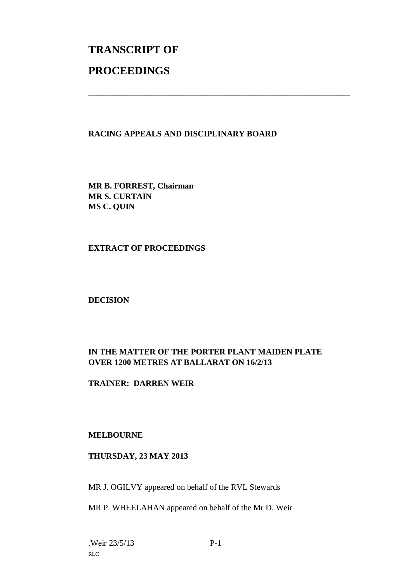# **TRANSCRIPT OF PROCEEDINGS**

#### **RACING APPEALS AND DISCIPLINARY BOARD**

\_\_\_\_\_\_\_\_\_\_\_\_\_\_\_\_\_\_\_\_\_\_\_\_\_\_\_\_\_\_\_\_\_\_\_\_\_\_\_\_\_\_\_\_\_\_\_\_\_\_\_\_\_\_\_\_\_\_\_\_\_\_\_

**MR B. FORREST, Chairman MR S. CURTAIN MS C. QUIN**

#### **EXTRACT OF PROCEEDINGS**

**DECISION**

### **IN THE MATTER OF THE PORTER PLANT MAIDEN PLATE OVER 1200 METRES AT BALLARAT ON 16/2/13**

**TRAINER: DARREN WEIR**

#### **MELBOURNE**

#### **THURSDAY, 23 MAY 2013**

MR J. OGILVY appeared on behalf of the RVL Stewards

MR P. WHEELAHAN appeared on behalf of the Mr D. Weir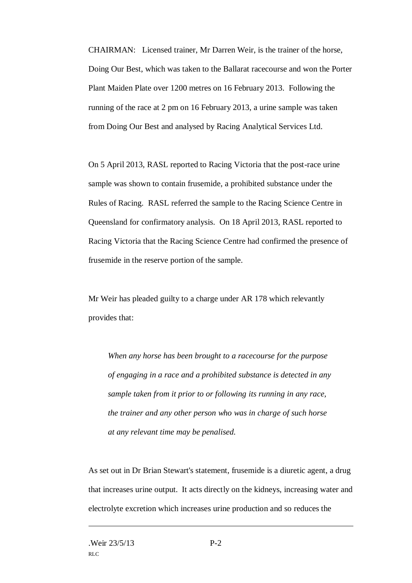CHAIRMAN: Licensed trainer, Mr Darren Weir, is the trainer of the horse, Doing Our Best, which was taken to the Ballarat racecourse and won the Porter Plant Maiden Plate over 1200 metres on 16 February 2013. Following the running of the race at 2 pm on 16 February 2013, a urine sample was taken from Doing Our Best and analysed by Racing Analytical Services Ltd.

On 5 April 2013, RASL reported to Racing Victoria that the post-race urine sample was shown to contain frusemide, a prohibited substance under the Rules of Racing. RASL referred the sample to the Racing Science Centre in Queensland for confirmatory analysis. On 18 April 2013, RASL reported to Racing Victoria that the Racing Science Centre had confirmed the presence of frusemide in the reserve portion of the sample.

Mr Weir has pleaded guilty to a charge under AR 178 which relevantly provides that:

*When any horse has been brought to a racecourse for the purpose of engaging in a race and a prohibited substance is detected in any sample taken from it prior to or following its running in any race, the trainer and any other person who was in charge of such horse at any relevant time may be penalised.*

As set out in Dr Brian Stewart's statement, frusemide is a diuretic agent, a drug that increases urine output. It acts directly on the kidneys, increasing water and electrolyte excretion which increases urine production and so reduces the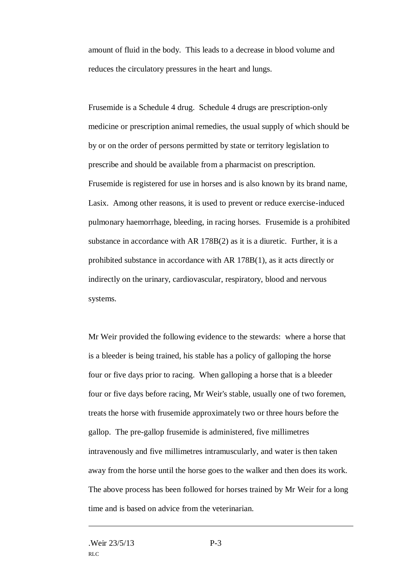amount of fluid in the body. This leads to a decrease in blood volume and reduces the circulatory pressures in the heart and lungs.

Frusemide is a Schedule 4 drug. Schedule 4 drugs are prescription-only medicine or prescription animal remedies, the usual supply of which should be by or on the order of persons permitted by state or territory legislation to prescribe and should be available from a pharmacist on prescription. Frusemide is registered for use in horses and is also known by its brand name, Lasix. Among other reasons, it is used to prevent or reduce exercise-induced pulmonary haemorrhage, bleeding, in racing horses. Frusemide is a prohibited substance in accordance with AR 178B(2) as it is a diuretic. Further, it is a prohibited substance in accordance with AR 178B(1), as it acts directly or indirectly on the urinary, cardiovascular, respiratory, blood and nervous systems.

Mr Weir provided the following evidence to the stewards: where a horse that is a bleeder is being trained, his stable has a policy of galloping the horse four or five days prior to racing. When galloping a horse that is a bleeder four or five days before racing, Mr Weir's stable, usually one of two foremen, treats the horse with frusemide approximately two or three hours before the gallop. The pre-gallop frusemide is administered, five millimetres intravenously and five millimetres intramuscularly, and water is then taken away from the horse until the horse goes to the walker and then does its work. The above process has been followed for horses trained by Mr Weir for a long time and is based on advice from the veterinarian.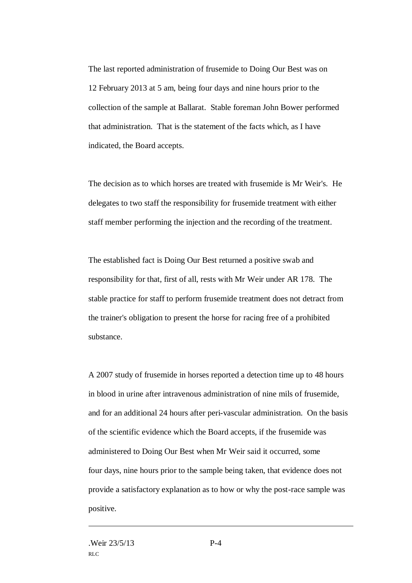The last reported administration of frusemide to Doing Our Best was on 12 February 2013 at 5 am, being four days and nine hours prior to the collection of the sample at Ballarat. Stable foreman John Bower performed that administration. That is the statement of the facts which, as I have indicated, the Board accepts.

The decision as to which horses are treated with frusemide is Mr Weir's. He delegates to two staff the responsibility for frusemide treatment with either staff member performing the injection and the recording of the treatment.

The established fact is Doing Our Best returned a positive swab and responsibility for that, first of all, rests with Mr Weir under AR 178. The stable practice for staff to perform frusemide treatment does not detract from the trainer's obligation to present the horse for racing free of a prohibited substance.

A 2007 study of frusemide in horses reported a detection time up to 48 hours in blood in urine after intravenous administration of nine mils of frusemide, and for an additional 24 hours after peri-vascular administration. On the basis of the scientific evidence which the Board accepts, if the frusemide was administered to Doing Our Best when Mr Weir said it occurred, some four days, nine hours prior to the sample being taken, that evidence does not provide a satisfactory explanation as to how or why the post-race sample was positive.